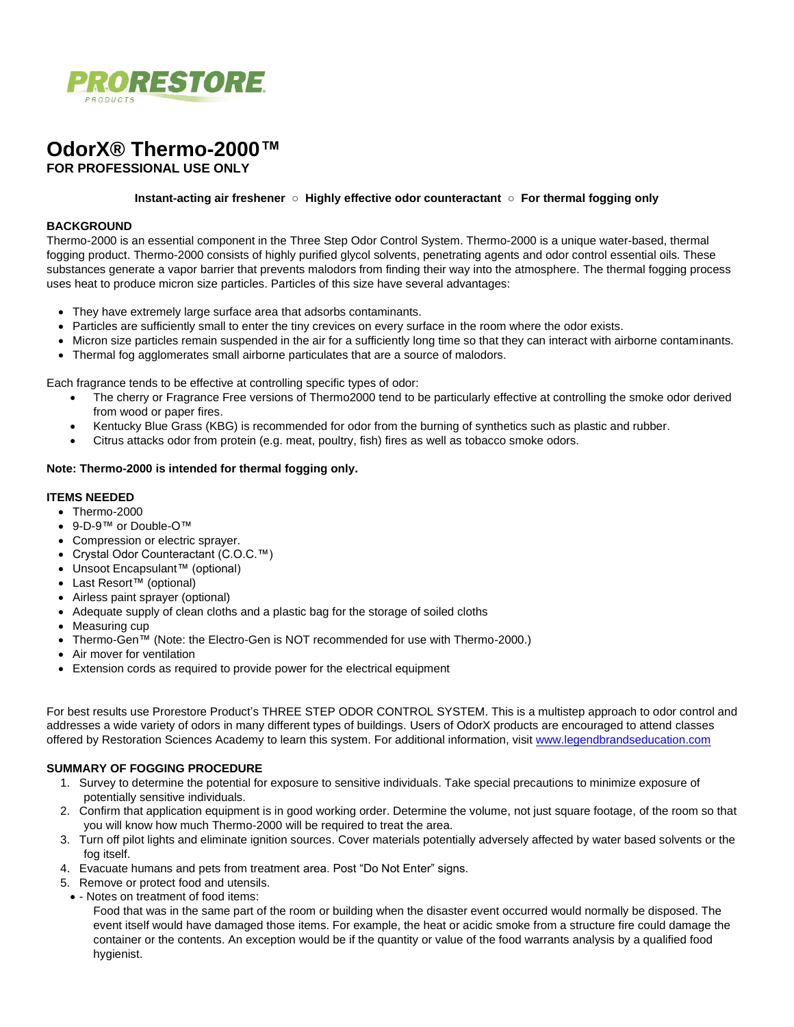

# **OdorX® Thermo-2000™ FOR PROFESSIONAL USE ONLY**

#### **Instant-acting air freshener ○ Highly effective odor counteractant ○ For thermal fogging only**

#### **BACKGROUND**

Thermo-2000 is an essential component in the Three Step Odor Control System. Thermo-2000 is a unique water-based, thermal fogging product. Thermo-2000 consists of highly purified glycol solvents, penetrating agents and odor control essential oils. These substances generate a vapor barrier that prevents malodors from finding their way into the atmosphere. The thermal fogging process uses heat to produce micron size particles. Particles of this size have several advantages:

- They have extremely large surface area that adsorbs contaminants.
- Particles are sufficiently small to enter the tiny crevices on every surface in the room where the odor exists.
- Micron size particles remain suspended in the air for a sufficiently long time so that they can interact with airborne contaminants.
- Thermal fog agglomerates small airborne particulates that are a source of malodors.

Each fragrance tends to be effective at controlling specific types of odor:

- The cherry or Fragrance Free versions of Thermo2000 tend to be particularly effective at controlling the smoke odor derived from wood or paper fires.
- Kentucky Blue Grass (KBG) is recommended for odor from the burning of synthetics such as plastic and rubber.
- Citrus attacks odor from protein (e.g. meat, poultry, fish) fires as well as tobacco smoke odors.

#### **Note: Thermo-2000 is intended for thermal fogging only.**

#### **ITEMS NEEDED**

- Thermo-2000
- 9-D-9™ or Double-O™
- Compression or electric sprayer.
- Crystal Odor Counteractant (C.O.C.™)
- Unsoot Encapsulant™ (optional)
- Last Resort™ (optional)
- Airless paint sprayer (optional)
- Adequate supply of clean cloths and a plastic bag for the storage of soiled cloths
- Measuring cup
- Thermo-Gen™ (Note: the Electro-Gen is NOT recommended for use with Thermo-2000.)
- Air mover for ventilation
- Extension cords as required to provide power for the electrical equipment

For best results use Prorestore Product's THREE STEP ODOR CONTROL SYSTEM. This is a multistep approach to odor control and addresses a wide variety of odors in many different types of buildings. Users of OdorX products are encouraged to attend classes offered by Restoration Sciences Academy to learn this system. For additional information, visit [www.legendbrandseducation.com](http://www.legendbrandseducation.com/)

### **SUMMARY OF FOGGING PROCEDURE**

- 1. Survey to determine the potential for exposure to sensitive individuals. Take special precautions to minimize exposure of potentially sensitive individuals.
- 2. Confirm that application equipment is in good working order. Determine the volume, not just square footage, of the room so that you will know how much Thermo-2000 will be required to treat the area.
- 3. Turn off pilot lights and eliminate ignition sources. Cover materials potentially adversely affected by water based solvents or the fog itself.
- 4. Evacuate humans and pets from treatment area. Post "Do Not Enter" signs.
- 5. Remove or protect food and utensils.
- - Notes on treatment of food items:

Food that was in the same part of the room or building when the disaster event occurred would normally be disposed. The event itself would have damaged those items. For example, the heat or acidic smoke from a structure fire could damage the container or the contents. An exception would be if the quantity or value of the food warrants analysis by a qualified food hygienist.